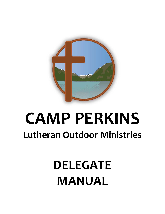

# **CAMP PERKINS Lutheran Outdoor Ministries**

# **DELEGATE MANUAL**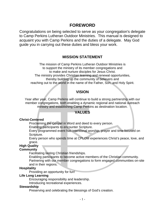# **FOREWORD**

Congratulations on being selected to serve as your congregation's delegate to Camp Perkins Lutheran Outdoor Ministries. This manual is designed to acquaint you with Camp Perkins and the duties of a delegate. May God guide you in carrying out these duties and bless your work.

#### **MISSION STATEMENT**

The mission of Camp Perkins Lutheran Outdoor Ministries is to support the ministry of its member congregations and to make and nurture disciples for Jesus Christ. The ministry provides Christian learning and renewal opportunities, thereby building up the community of believers and reaching out to the world in the name of the Father, Son, and Holy Spirit.

### **VISION**

Year after year, Camp Perkins will continue to build a strong partnership with our member congregations, both enabling a dynamic regional and national outreach ministry and establishing Camp Perkins as destination location.

#### **VALUES**

#### **Christ-Centered**

Proclaiming the Gospel in Word and deed to every person.

Enabling participants to encounter Scripture.

Every programmed event has intentional worship, prayer and time focused on Scripture.

Every person who spends time at CPLOM experiences Christ's peace, love, and grace.

# **High Quality**

### **Community**

Facilitating lasting Christian friendships.

 Enabling participants to become active members of the Christian community. Partnering with our member congregations to form engaged communities on-site and in their regions.

#### **Hospitality**

Providing an opportunity for fun!

#### **Life Long Learning**

Encouraging responsibility and leadership.

Introducing recreational experiences.

#### **Stewardship**

Preserving and celebrating the blessings of God's creation.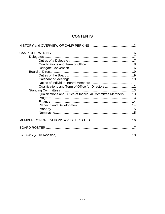# **CONTENTS**

| Qualifications and Term of Office for Directors 12          |  |
|-------------------------------------------------------------|--|
|                                                             |  |
| Qualifications and Duties of Individual Committee Members13 |  |
|                                                             |  |
|                                                             |  |
|                                                             |  |
|                                                             |  |
|                                                             |  |
|                                                             |  |
|                                                             |  |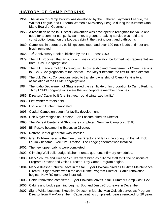# **HISTORY OF CAMP PERKINS**

- 1954 The vision for Camp Perkins was developed by the Lutheran Laymen's League, the Walther League, and Lutheran Women's Missionary League during the summer Utah-Idaho Board of Governors.
- 1955 A resolution at the fall District Convention was developed to recognize the value and need for a summer camp. By summer, a ground-breaking service was held and construction began on the Lodge, cabin 7, the trading post, and bathrooms.
- 1960 Camp was in operation, buildings completed, and over 100 truck loads of timber and brush removed.
- 1965  $10^{th}$  Anniversary Book published by the LLL... cost: \$.50
- 1979 The LLL proposed that an outdoor ministry organization be formed with representatives from LCMS Congregations.
- 1982 The LLL made a motion to relinquish its ownership and management of Camp Perkins to LCMS Congregations of the district. Rob Meyer became the first full-time director.
- 1983 The LLL District Conventions voted to transfer ownership of Camp Perkins to an association of the LCMS congregations.
- 1984 The Idaho Department of State issued the certificate of Incorporation to Camp Perkins. Thirty LCMS congregations were the first corporate member churches.
- 1985 Directors' Cabin built (the first year-round winterized facility).
- 1986 First winter retreats held.
- 1987 Lodge and kitchen remodeled.
- 1993 Capitol Campaign begun for facility development.
- 1994 Rob Meyer resigns as Director. Bob Fossum hired as Director.
- 1995 The Retreat Center and Shop were completed. Summer Camp cost: \$185.
- 1996 Bill Petzke became the Executive Director.
- 1997 Retreat Center generator was installed.
- 2000 Greg Bohlken became the Executive Director and left in the spring. In the fall, Bob LaCroix became Executive Director. The Lodge generator was installed.
- 2001 The new upper cabins were completed.
- 2002 Climbing Wall built. Lodge kitchen, nurses quarters, infirmary remodeled.
- 2003 Mark Schulze and Kresha Schulze were hired as full-time staff to fill the positions of Program Director and Office Director. Day Camp Program begins.
- 2004 Mark & Kresha Schulze leave in the fall. Tyler Bloxham hired as full-time Maintenance Director. Signe White was hired as full-time Program Director. Cabin renovation begins. New RC generator installed.
- 2005 Cabin renovation completed. Tyler Bloxham leaves in fall. Summer Camp Cost: \$220.
- 2006 Cabins and Lodge painting begins. Bob and Jen LaCroix leave in December.
- 2007 Signe White becomes Executive Director in March. Matt Gulseth serves as Program Director from May-November. Cabin painting completed. Lease renewed for 20 years!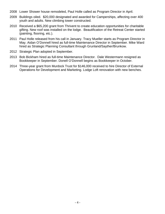- 2008 Lower Shower house remodeled, Paul Holle called as Program Director in April.
- 2009 Buildings oiled. \$20,000 designated and awarded for Camperships, affecting over 400 youth and adults. New climbing tower constructed.
- 2010 Received a \$65,200 grant from Thrivent to create education opportunities for charitable gifting. New roof was installed on the lodge. Beautification of the Retreat Center started (painting, flooring, etc.).
- 2011 Paul Holle released from his call in January. Tracy Mueller starts as Program Director in May. Aidan O'Donnell hired as full-time Maintenance Director in September. Mike Ward hired as Strategic Planning Consultant through Grunland/Sayther/Brunkow.
- 2012 Strategic Plan adopted in September.
- 2013 Bob Bickham hired as full-time Maintenance Director. Dale Westermann resigned as Bookkeeper in September. Donell O'Donnell begins as Bookkeeper in October.
- 2014 Three-year grant from Murdock Trust for \$146,000 received to hire Director of External Operations for Development and Marketing. Lodge Loft renovation with new benches.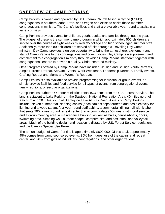# **OVERVIEW OF CAMP PERKINS**

Camp Perkins is owned and operated by 38 Lutheran Church Missouri Synod (LCMS) congregations in southern Idaho, Utah, and Oregon and exists to assist those member congregations in ministry. The Camp's facilities and staff are available year-round to assist in a variety of ways.

Camp Perkins provides events for children, youth, adults, and families throughout the year. The biggest of these is the summer camp program in which approximately 500 children are served over the course of eight weeks by over 35 college and high school aged summer staff. Additionally, more than 800 children are served off-site through a Traveling Day Camp ministry. Day Camp provides a unique opportunity to bring the atmosphere, excitement and staff of Camp Perkins to the congregations and communities. Day Camp is a supplement and complement to a congregation's ministry through which Camp Perkins staff team together with congregational leaders to provide a quality, Christ-centered ministry.

Other programs offered by Camp Perkins have included: Jr High and Sr High Youth Retreats, Single Parents Retreat, Servant Events, Work Weekends, Leadership Retreats, Family events, Crafting Retreat and Men's and Women's Retreats.

Camp Perkins is also available to provide programming for individual or group events, or simply provide facilities and food service for all types of events from congregational events, family reunions, or secular organizations.

Camp Perkins Lutheran Outdoor Ministries rents 10.3 acres from the U.S. Forest Service. The land is adjacent to Lake Perkins in the Sawtooth National Recreation Area, 40 miles north of Ketchum and 20 miles south of Stanley on Lake Alturas Road. Assets of Camp Perkins include: eleven summer/fall sleeping cabins (each cabin sleeps fourteen and has electricity for lighting and a wood stove), four year-round staff cabins, a summer/fall dining hall with kitchen that seats 200, a year-round retreat center that accommodates 50 guests with food service and a group meeting area, a maintenance building, as well as bikes, canoes/boats, docks, swimming area, climbing wall, outdoor chapel, campfire site, and basketball and volleyball areas. Much of the building design and location is dictated by U.S. Forest Service regulations and the Camp's Special Use Permit.

The annual budget of Camp Perkins is approximately \$600,000. Of this total, approximately 45% comes from camp sponsored events; 35% from guest use of the cabins and retreat center; and 20% from gifts of individuals, congregations, and other organizations.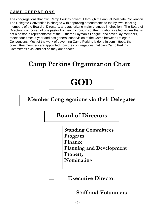# **CAMP OPERATIONS**

The congregations that own Camp Perkins govern it through the annual Delegate Convention. The Delegate Convention is charged with approving amendments to the bylaws, electing members of the Board of Directors, and authorizing major changes in direction. The Board of Directors, composed of one pastor from each circuit in southern Idaho, a called worker that is not a pastor, a representative of the Lutheran Layman's League, and seven lay members, meets four times a year and has general supervision of the Camp between Delegate Conventions. Most of the work of governing Camp Perkins is done in committees; the committee members are appointed from the congregations that own Camp Perkins. Committees exist and act as they are needed.

# **Camp Perkins Organization Chart**

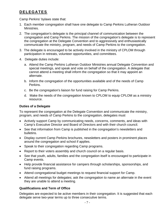# **DELEGATES**

Camp Perkins' bylaws state that:

- 1. Each member congregation shall have one delegate to Camp Perkins Lutheran Outdoor Ministries.
- 2. The congregation's delegate is the principal channel of communication between the congregation and Camp Perkins. The mission of the congregation's delegate is to represent the congregation at the Delegate Convention and to aggressively and enthusiastically communicate the ministry, program, and needs of Camp Perkins to the congregation.
- 3. The delegate is encouraged to be actively involved in the ministry of CPLOM through participation in retreats, volunteer opportunities, and committees.
- 4. Delegate duties include:
	- a. Attend the Camp Perkins Lutheran Outdoor Ministries annual Delegate Convention and special meetings, and speak and vote on behalf of the congregation. A delegate that cannot attend a meeting shall inform the congregation so that it may appoint an alternate.
	- b. Inform the congregation of the opportunities available and of the needs of Camp Perkins.
	- c. Be the congregation's liaison for fund raising for Camp Perkins.
	- d. Make the needs of the congregation known to CPLOM to equip CPLOM as a ministry resource.

#### **Duties of a Delegate**

To represent the congregation at the Delegate Convention and communicate the ministry, program, and needs of Camp Perkins to the congregation, delegates must

- Actively support Camp by communicating needs, concerns, comments, and ideas with Camp's Executive Director and Board of Directors and with their church council.
- See that information from Camp is published in the congregation's newsletters and bulletins.
- Display current Camp Perkins brochures, newsletters and posters in prominent places around the congregation and school if applies.
- Speak to their congregation regarding Camp programs.
- Report to their voters assembly and church council on a regular basis.
- See that youth, adults, families and the congregation itself is encouraged to participate in Camp events.
- Help provide financial assistance for campers through scholarships, sponsorships, and fund raising programs.
- Attend congregational budget meetings to request financial support for Camp.
- Attend all meetings for delegates; ask the congregation to name an alternate in the event they are unable to attend a meeting.

#### **Qualifications and Term of Office**

Delegates are expected to be active members in their congregation. It is suggested that each delegate serve two-year terms up to three consecutive terms.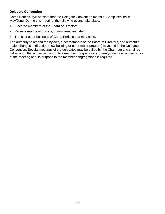#### **Delegate Convention**

Camp Perkins' bylaws state that the Delegate Convention meets at Camp Perkins in May/June. During this meeting, the following events take place:

- 1. Elect the members of the Board of Directors.
- 2. Receive reports of officers, committees, and staff.
- 3. Transact other business of Camp Perkins that may arise.

The authority to amend the bylaws, elect members of the Board of Directors, and authorize major changes in direction (new building or other major program) is vested in the Delegate Convention. Special meetings of the delegates may be called by the Chairman and shall be called upon the written request of five member congregations. Twenty-one days written notice of the meeting and its purpose to the member congregations is required.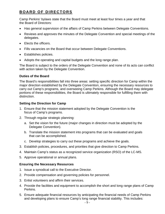# **BOARD OF DIRECTORS**

Camp Perkins' bylaws state that the Board must meet at least four times a year and that the Board of Directors:

- Has general supervision of the affairs of Camp Perkins between Delegate Conventions.
- Reviews and approves the minutes of the Delegate Convention and special meetings of the delegates.
- Elects the officers.
- Fills vacancies on the Board that occur between Delegate Conventions.
- Establishes policies.
- Adopts the operating and capital budgets and the long range plan.

The Board is subject to the orders of the Delegate Convention and none of its acts can conflict with action taken by the Delegate Convention.

#### **Duties of the Board**

The Board's responsibilities fall into three areas: setting specific direction for Camp within the major direction established by the Delegate Convention, ensuring the necessary resources to carry out Camp's programs, and overseeing Camp Perkins. Although the Board may delegate portions of these responsibilities, the Board is ultimately responsible for fulfilling them with distinction.

#### **Setting the Direction for Camp**

- 1. Ensure that the mission statement adopted by the Delegate Convention is the focus of Camp's programs.
- 2. Through regular strategic planning:
	- a. Set the vision for the future (major changes in direction must be adopted by the Delegate Convention).
	- b. Translate the mission statement into programs that can be evaluated and goals that can be accomplished.
	- c. Develop strategies to carry out these programs and achieve the goals.
- 3. Establish policies, procedures, and priorities that give direction to Camp Perkins.
- 4. Maintain Camp's status as a recognized service organization (RSO) of the LC-MS.
- 5. Approve operational or annual plans.

#### **Ensuring the Necessary Resources**

- 1. Issue a synodical call to the Executive Director.
- 2. Provide compensation and governing policies for personnel.
- 3. Enlist volunteers and affirm their services.
- 4. Provide the facilities and equipment to accomplish the short and long range plans of Camp Perkins.
- 5. Ensure adequate financial resources by anticipating the financial needs of Camp Perkins and developing plans to ensure Camp's long range financial stability. This includes: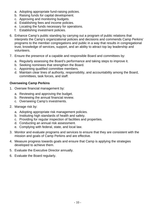- a. Adopting appropriate fund-raising policies.
- b. Raising funds for capital development.
- c. Approving and monitoring budgets.
- d. Establishing fees and income policies.
- e. Locating the funds necessary for operations.
- f. Establishing investment policies.
- 6. Enhance Camp's public standing by carrying out a program of public relations that interprets the Camp's organizational policies and decisions and commends Camp Perkins' programs to the member congregations and public in a way that results in congregational trust, knowledge of services, support, and an ability to attract top lay leadership and volunteers.
- 7. Ensure the presence of a capable and responsible Board and committees by:
	- a. Regularly assessing the Board's performance and taking steps to improve it.
	- b. Seeking nominees that strengthen the Board.
	- c. Appointing qualified committee members.
	- d. Maintain clear lines of authority, responsibility, and accountability among the Board, committees, task forces, and staff.

#### **Overseeing Camp Perkins**

- 1. Oversee financial management by:
	- a. Reviewing and approving the budget.
	- b. Reviewing the annual financial review.
	- c. Overseeing Camp's investments.
- 2. Manage risk by:
	- a. Adopting appropriate risk management policies.
	- b. Instituting high standards of health and safety.
	- c. Providing for regular inspection of facilities and properties.
	- d. Conducting an annual risk assessment.
	- e. Complying with federal, state, and local law.
- 3. Monitor and evaluate programs and services to ensure that they are consistent with the mission and goals of Camp Perkins and are effective.
- 4. Measure progress towards goals and ensure that Camp is applying the strategies developed to achieve them.
- 5. Evaluate the Executive Director annually.
- 6. Evaluate the Board regularly.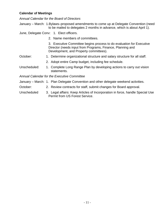#### **Calendar of Meetings**

*Annual Calendar for the Board of Directors* 

January – March: 1.Bylaws–proposed amendments to come up at Delegate Convention (need to be mailed to delegates 2 months in advance, which is about April 1).

June, Delegate Conv: 1. Elect officers.

2. Name members of committees.

 3. Executive Committee begins process to do evaluation for Executive Director (needs input from Programs, Finance, Planning and Development, and Property committees).

- October: 1. Determine organizational structure and salary structure for all staff.
	- 2. Adopt entire Camp budget, including fee schedule.
- Unscheduled: 1. Complete Long Range Plan by developing actions to carry out vision statements.

*Annual Calendar for the Executive Committee* 

- January March: 1. Plan Delegate Convention and other delegate weekend activities.
- October: 2. Review contracts for staff, submit changes for Board approval.
- Unscheduled 3. Legal affairs: Keep Articles of Incorporation in force, handle Special Use Permit from US Forest Service.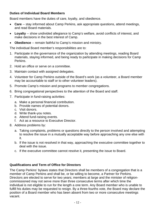#### **Duties of Individual Board Members**

Board members have the duties of care, loyalty, and obedience.

- **Care** -- stay informed about Camp Perkins, ask appropriate questions, attend meetings, and read Board materials.
- **Loyalty** -- show undivided allegiance to Camp's welfare, avoid conflicts of interest, and make decisions in the best interest of Camp.
- **Obedience** -- remain faithful to Camp's mission and ministry.

The individual Board member's responsibilities are to:

- 1. Participate in the governance of the organization by attending meetings, reading Board materials, staying informed, and being ready to participate in making decisions for Camp Perkins.
- 2. Hold an office or serve on a committee.
- 3. Maintain contact with assigned delegates.
- 4. Volunteer for Camp Perkins outside of the Board's work (as a volunteer, a Board member may be accountable to staff or to other volunteer leaders).
- 5. Promote Camp's mission and programs to member congregations.
- 6. Bring congregational perspectives to the attention of the Board and staff.
- 7. Participate in fund-raising activities:
	- a. Make a personal financial contribution.
	- b. Provide names of potential donors.
	- c. Visit donors.
	- d. Write thank-you notes.
	- e. Attend fund-raising events.
	- f. Act as a resource to Executive Director.
- 8. Address problems by:
	- a. Taking complaints, problems or questions directly to the person involved and attempting to resolve the issue in a mutually acceptable way before approaching any one else with it.
	- b. If the issue is not resolved in that way, approaching the executive committee together to deal with the issue.
	- c. If the executive committee cannot resolve it, presenting the issue to Board.

#### **Qualifications and Term of Office for Directors**

The Camp Perkins' bylaws states that Directors shall be members of a congregation that is a member of Camp Perkins and shall be, or be willing to become, a Partner for Perkins. Directors are elected to serve for two years; members at large and the minister of religioncommissioned may not serve more than three consecutive terms after which time the individual is not eligible to run for the length a one term. Any Board member who is unable to fulfill his duties may be requested to resign. By a three-fourths vote, the Board may declare the position of a Board member who has been absent from two or more consecutive meetings vacant.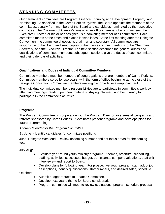# **STANDING COMMITTEES**

Our permanent committees are Program, Finance, Planning and Development, Property, and Nominating. As specified in the Camp Perkins' bylaws, the Board appoints the members of the committees, usually from members of the Board and candidates nominated by the respective committee. The Chairman of Camp Perkins is an ex officio member of all committees; the Executive Director, or his or her designee, is a nonvoting member of all committees. Each committee meets at the times and places it establishes. At the first meeting after the Delegate Convention, the committee chooses its chairman and secretary. All committees are responsible to the Board and send copies of the minutes of their meetings to the Chairman, Secretary, and the Executive Director. The next section describes the general duties and qualifications of committee members; subsequent sections give the duties of each committee and their calendar of activities.

#### **Qualifications and Duties of Individual Committee Members**

Committee members must be members of congregations that are members of Camp Perkins. Committee members serve for two years, with the term of office beginning at the close of the Delegate Convention. Committee members are eligible for indefinite reappointment.

The individual committee member's responsibilities are to participate in committee's work by attending meetings, reading pertinent materials, staying informed, and being ready to participate in the committee's activities.

#### **Programs**

The Program Committee, in cooperation with the Program Director, oversees all programs and retreats sponsored by Camp Perkins. It evaluates present programs and develops plans for future programming.

*Annual Calendar for the Program Committee* 

By June - Identify candidates for committee positions

June, Delegate Weekend - Review upcoming summer and set focus areas for the coming year.

July-Aug:

- Evaluate year-round youth ministry programs—themes, brochure, scheduling, staffing, activities, successes, budget, participants, camper evaluations, staff exit interviews—and report to Board.
- Develop plans for following year. For prospective youth program staff, adopt job descriptions, identify qualifications, staff numbers, and desired salary schedule.

October:

- Submit budget request to Finance Committee.
- Develop next year's theme for Board consideration.
- Program committee will meet to review evaluations, program schedule proposal.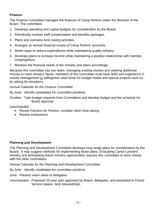#### **Finance**

The Finance Committee manages the finances of Camp Perkins under the direction of the Board. The committee:

- 1. Develops operating and capital budgets for consideration by the Board.
- 2. Periodically reviews staff compensation and benefits packages.
- 3. Plans and oversees fund raising activities.
- 4. Arranges an annual financial review of Camp Perkins' accounts.
- 5. Seeks ways to reduce expenditures while maintaining quality ministry.
- 6. Develops plans to increase income while maintaining a positive relationship with member congregations.
- 7. Monitors the financial needs of the ministry and plans accordingly.

Because this committee has two tasks, managing existing monies and seeking additional monies to meet ministry needs, members of this committee must have skills and experience in money management or willingness raise funds for budget needs and special projects such as by asking for donations.

#### *Annual Calendar for the Finance Committee*

By June - Identify candidates for committee positions.

October - Take budget requests from Committees and develop budget and fee schedule for Board approval.

Unscheduled:

- Renew Partners for Perkins, consider other fund-raising.
- Review endowment.

#### **Planning and Development**

The Planning and Development Committee develops long range plans for consideration by the Board. It may suggest methods for implementing those plans. Evaluating Camp's present ministry and anticipating future ministry opportunities requires this committee to work closely with the other committees.

*Annual Calendar for the Planning and Development Committee*

By June - Identify candidates for committee positions.

June - Present vision ideas to delegates.

Unscheduled - Proposed 20-year plan approved by Board, delegates, and presented to Forest Service (space, land stewardship).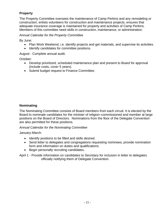#### **Property**

The Property Committee oversees the maintenance of Camp Perkins and any remodeling or construction, enlists volunteers for construction and maintenance projects, ensures that adequate insurance coverage is maintained for property and activities of Camp Perkins. Members of this committee need skills in construction, maintenance, or administration.

#### *Annual Calendar for the Property Committee*

By June:

- Plan Work Weekend, i.e. identify projects and get materials, and supervise its activities.
- Identify candidates for committee positions.

August - Complete annual audit.

October:

- Develop prioritized, scheduled maintenance plan and present to Board for approval (include costs, cover 5 years).
- Submit budget request to Finance Committee.

#### **Nominating**

The Nominating Committee consists of Board members from each circuit. It is elected by the Board to nominate candidates for the minister of religion–commissioned and member at large positions on the Board of Directors. Nominations from the floor of the Delegate Convention are also permitted for these positions.

#### *Annual Calendar for the Nominating Committee*

January-March:

- Identify positions to be filled and skills desired.
- Send letter to delegates and congregations requesting nominees; provide nomination form and information on duties and qualifications.
- Begin personally recruiting candidates.

April 1 - Provide information on candidates to Secretary for inclusion in letter to delegates officially notifying them of Delegate Convention.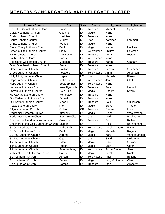# **MEMBERS CONGREGATION AND DELEGATE ROSTER**

| <b>Primary Church</b>                  | City                 | State     | <b>Circuit</b>  | F Name         | L_Name         |
|----------------------------------------|----------------------|-----------|-----------------|----------------|----------------|
| Beautiful Savior Lutheran Church       | <b>Boise</b>         | ID        | <b>Treasure</b> | Micheal        | Spencer        |
| Calvary Lutheran Church                | Gooding              | ID        | Magic           | <b>None</b>    |                |
| <b>Christ Lutheran Church</b>          | Meridian             | ID        | Treasure        | <b>None</b>    |                |
| <b>Christ Lutheran Church</b>          | Murray               | UT        | Utah            | Kathleen       | Lemmert        |
| <b>Christ Lutheran Church</b>          | Wendell              | ID        | Magic           | <b>None</b>    |                |
| <b>Clover Trinity Lutheran Church</b>  | <b>Buhl</b>          | ID        | Magic           | Naomi          | Hopkins        |
| Crown of Life Lutheran Church          | Rigby                | ID        | Yellowstone     | Shirley        | Petersen       |
| Faith Lutheran Church                  | Mtn Home             | ID        | Treasure        | Terry          | <b>Ristow</b>  |
| Faith Lutheran Church                  | Pocatello            | ID        | Yellowstone     | <b>None</b>    |                |
| Friendship Celebration Church          | Meridian             | ID        | Treasure        | Karen          | Graham         |
| Good Shepherd Lutheran Church          | <b>Boise</b>         | ID        | Treasure        | <b>None</b>    |                |
| <b>Grace Lutheran Church</b>           | Caldwell             | ID        | <b>Treasure</b> | Teresa         | Schroeder      |
| <b>Grace Lutheran Church</b>           | Pocatello            | ID        | Yellowstone     | Anna           | Anderson       |
| Holy Trinity Lutheran Church           | Logan                | UT        | Utah            | Michelle       | Pierson        |
| Hope Lutheran Church                   | <b>Idaho Falls</b>   | ID        | Yellowstone     | James          | Oloff          |
| Hope Lutheran Church                   | Soda Springs         | ID        | Yellowstone     | <b>None</b>    |                |
| Immanuel Lutheran Church               | New Plymouth         | ID        | Treasure        | Amy            | Hubach         |
| Immanuel Lutheran Church               | <b>Twin Falls</b>    | ID        | Magic           | Cherry         | <b>Myers</b>   |
| Mt. Calvary Lutheran Church            | Homedale             | ID        | Treasure        | <b>None</b>    |                |
| Our Redeemer Lutheran Church           | Emmett               | ID        | Treasure        | <b>None</b>    |                |
| Our Savior Lutheran Church             | McCall               | ID        | Treasure        | Paul           | Gullickson     |
| Peace Lutheran Church                  | Filer                | ID        | Magic           | Steve          | Thaete         |
| Pilgrim Lutheran Church                | Ontario              | <b>OR</b> | Treasure        | Cassie         | Love           |
| Redeemer Lutheran Church               | Kimberly             | ID        | Magic           | Diana          | Westermann     |
| Redeemer Lutheran Church               | Salt Lake City       | UT        | Utah            | Mark           | Beekhuizen     |
| Shepherd of the Mountains Lutheran     | Cascade              | ID        | <b>Treasure</b> | Ron            | Richter        |
| Shepherd of the Valley Lutheran Church | Salmon               | ID        |                 | Nola           | Barningham     |
| St. John Lutheran Church               | <b>Idaho Falls</b>   | ID        | Yellowstone     | Derek & Laurel | Flynn          |
| St. John's Lutheran Church             | <b>Buhl</b>          | ID        | Magic           | Michelle       | Rogers         |
| St. Paul Lutheran Church               | Jerome               | ID        | Magic           | Kara           | Vander Linden  |
| St. Paul Lutheran Church               | Ogden                | UT        | Utah            | Sandi          | Dellermann     |
| <b>Trinity Lutheran Church</b>         | Eden                 | ID        | Magic           | Otto           | Schwarz        |
| <b>Trinity Lutheran Church</b>         | Rupert               | ID        | Magic           | <b>Beth</b>    | Cofer          |
| <b>Trinity Lutheran Church</b>         | <b>Saint Anthony</b> | ID        | Yellowstone     | Rod & Sharon   | Staeb          |
| Valley of Peace Lutheran Church        | Hailey               | ID        | Magic           | Derek          | Ruhter         |
| Zion Lutheran Church                   | Ashton               | ID        | Yellowstone     | Paul           | <b>Bolland</b> |
| Zion Lutheran Church                   | <b>Burley</b>        | ID        | Magic           | Larry & Norma  | Olson          |
| Zion Lutheran Church                   | Nampa                | ID        | Treasure        | Stan           | Allsberry      |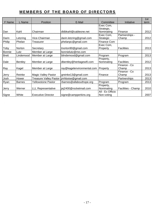# **MEMBERS OF THE BOARD OF DIRECTORS**

| F Name        | L Name         | Position                      | E-Mail                     | Committee                      | Initiative            | 1st<br>term |
|---------------|----------------|-------------------------------|----------------------------|--------------------------------|-----------------------|-------------|
|               |                |                               |                            | Exec Com,                      |                       |             |
|               |                |                               |                            | Strategic,                     |                       |             |
| Dan           | Kahl           | Chairman                      | dldbkahl@cableone.net      | Nominating                     | Finance               | 2012        |
|               |                |                               |                            | Exec Com,                      | Partnerships -        |             |
| Darin         | Letzring       | Vice-Chairman                 | darin.letzring@gmail.com   | Strategic                      | Champ                 | 2012        |
| Philip        | Phelan         | Treasurer                     | phelanpc@gmail.com         | Finance Com                    |                       |             |
| Toby          | <b>Norton</b>  | Secretary                     | tnorton90@gmail.com        | Exec Com,<br>Property          | <b>Facilities</b>     | 2013        |
| <b>Bonnie</b> | Lutz           | Member at Large               | bonnielutz@me.com          |                                |                       |             |
| <b>Brett</b>  | Lindemood      | Member at Large               | blindemood@gmail.com       | Program                        | Program               | 2013        |
| Dale          | <b>Bentley</b> | Member at Large               | dbentley@heritagewifi.com  | Property,<br>Nominating        | <b>Facilities</b>     | 2012        |
| Ray           | Kagel          | Member at Large               | ray@kagelenvironmental.com | Property                       | Finance - Co<br>Champ | 2013        |
| Jerry         | Reinke         | <b>Magic Valley Pastor</b>    | greinke13@gmail.com        | Finance                        | Finance - Co<br>Champ | 2013        |
| Josh          | Hower          | <b>Treasure Valley Pastor</b> | jmhboise@gmail.com         |                                | Partnerships          | 2013        |
| Ryan          | <b>Barnes</b>  | Yellowstone Pastor            | rbarnes@allabouthope.org   | Program                        | Program               | 2013        |
| Jerry         | Werner         | <b>LLL Representative</b>     | jej2400@rocketmail.com     | Property,<br>Nominating        | Facilities - Champ    | 2010        |
| Signe         | White          | <b>Executive Director</b>     | signe@campperkins.org      | All - Ex Officio<br>Non-voting |                       | 2007        |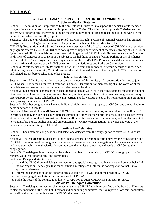#### **BYLAWS OF CAMP PERKINS LUTHERAN OUTDOOR MINISTRIES Article I—Mission Statement**

Section 1. The mission of Camp Perkins Lutheran Outdoor Ministries is to support the ministry of its member congregations and to make and nurture disciples for Jesus Christ. The Ministry will provide Christian learning and renewal opportunities, thereby building up the community of believers and reaching out to the world in the name of the Father, Son and Holy Spirit.

Section 2. The Lutheran Church–Missouri Synod (LCMS) through its Office of National Missions has granted Recognized Service Organization status to Camp Perkins Lutheran Outdoor Ministries, Inc.

(CPLOM). Recognition by the Synod (i) is not an endorsement of the fiscal solvency of CPLOM, nor of services or programs offered by CPLOM., (ii) does not express or imply endorsement of the fiscal solvency of CPLOM, or Synod responsibility for the debts or other financial obligations of CPLOM, and (iii) does not cause the Synod or its districts of congregations to incur or be subject to the liabilities or debts of Camp Perkins or its subsidiaries and/or affiliates. As a recognized service organization of the LCMS, CPLOM respects and does not act contrary to the doctrine and practice of the LCMS as set forth in the Scriptures and Lutheran Confessions.

Section 3. While the use of CPLOM shall not be withheld from any individual or group because of race, creed, religion, sex, or national origin, CPLOM reserves the right to schedule use of the Camp by LCMS congregations and related groups before scheduling other groups.

#### **Article II—Members**

Section 1. Any LCMS congregation may become a member of this ministry. A congregation desiring to join CPLOM shall notify the Executive Director of this desire. Its petition for membership shall be voted on at the next delegate convention; a majority vote shall elect to membership.

Section 2. Each member congregation is encouraged to include CPLOM in its congregational budget; an amount of at least two dollars per communicant member per year is suggested. In addition, member congregations may offer support by providing scholarships to camp participants for various events or by volunteering time promoting or improving the ministry of CPLOM.

Section 3. Member congregations have no individual rights in or to the property of CPLOM and are not liable for debts or actions of CPLOM.

Section 4. Membership in the Ministry of CPLOM shall derive certain benefits, as determined by the Board of Directors, and may include discounted retreats, camper and other user fees; priority scheduling for church events at camp; special pastoral and professional church staff benefits, fees and accommodations; and regular receipt of newsletters, brochures, publications and announcements. Member congregations have voice and vote at the annual and special meetings of CPLOM.

#### **Article III—Delegates**

Section 1. Each member congregation shall select one delegate from the congregation to serve CPLOM as its delegate.

Section 2. The congregation's delegate is the principal channel of communication between the congregation and CPLOM. The mission of the congregation's delegate is to represent the congregation at the delegate convention and to aggressively and enthusiastically communicate the ministry, program, and needs of CPLOM to the congregation.

Section 3. The delegate is encouraged to be actively involved in the ministry of CPLOM through participation in retreats, volunteer opportunities, and committees.

Section 4. Delegate duties include:

- a. Attend the CPLOM annual delegate convention and special meetings, and have voice and vote on behalf of the congregation. A delegate that cannot attend a meeting shall inform the congregation so that it may appoint an alternate.
- b. Inform the congregation of the opportunities available at CPLOM and of the needs of CPLOM.
- c. Be the congregation's liaison for fund raising for CPLOM.
- d. Make the needs of the congregation known to CPLOM to equip CPLOM as a ministry resource.

#### **Article IV—Delegate Convention**

Section 1. The delegate convention shall meet annually at CPLOM at a time specified by the Board of Directors to elect the members of the Board of Directors and nominating committee, receive reports of officers, committees, and staff, and transact other business of CPLOM that may arise.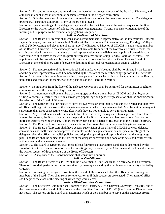Section 2. The authority to approve amendments to these bylaws, elect members of the Board of Directors, and authorize major changes in direction or mission is vested in the delegate convention.

Section 3. Only the delegates of the member congregations may vote at the delegate convention. The delegates present shall constitute a quorum. Proxy votes are not allowed.

Section 4. Special meetings of the delegates may be called by the Chairman at the written request of the Board of Directors or the written request of at least five member congregations. Twenty-one days written notice of the meeting and its purpose to the member congregations is required.

#### **Article V—Board of Directors**

Section 1. The Board of Directors shall consist of *sixteen* members: a representative of the International Lutheran Laymen's League; one pastor from each of Northwest District Circuits 10 (Treasure Valley), 11 (Magic Valley), and 12 (Yellowstone); and eleven members at large. The Executive Director of CPLOM is a non-voting member of the Board of Directors. In the event a pastor is not available from one of the Northwest District Circuits, the circuit counselor from any circuit where pastoral representation is unavailable may appoint a licensed deacon from said circuit to serve as the circuit's pastoral representative on the Camp Perkins Board of Directors. This appointment will be re-evaluated by the circuit counselor in conversation with the Camp Perkins Board of Directors at the end of every term of service to determine if pastoral representation is again available.

Section 2. The representative of the International Lutheran Laymen's League shall be nominated by the League and the pastoral representatives shall be nominated by the pastors of the member congregations in their circuits. Section 3. A nominating committee consisting of one person from each circuit shall be appointed by the Board to nominate candidates for the member at large positions on the Board of Directors.

Section 4. Nominations from the floor of the Delegate Convention shall be permitted for the minister of religioncommissioned and the member at large positions.

Section 5. All nominees shall be members of a congregation that is a member of CPLOM and shall be, or be willing to become, a Partner for Perkins. Broad geographic, age and gender representation shall be encouraged in the selection of the Board of Directors.

Section 6. The Directors shall be elected to serve for two years or until their successors are elected and their term of office shall begin at the close of the delegate convention at which they were elected. Members at large may not serve more than three consecutive terms, after which they are not eligible to serve for a full term.

Section 7. Any Board member who is unable to fulfill his duties may be requested to resign. By a three-fourths vote of the quorum, the Board may declare the position of a Board member who has been absent from two or more consecutive meetings vacant. A board member may submit a letter of resignation to the Board Chairman. Section 8. The Board of Directors may fill vacancies on the Board that occur between delegate conventions. Section 9. The Board of Directors shall have general supervision of the affairs of CPLOM between delegate conventions, and shall review and approve the minutes of the delegate convention and special meetings of the delegates, elect the officers, establish policies, and adopt the operating and capital budgets and the long range plan. The Board shall be subject to the orders of the delegate convention and none of its acts shall conflict with action taken by the delegate convention.

Section 10. The Board of Directors shall meet at least four times a year at times and places determined by the Board of Directors. Special Board of Directors meetings may be called by the Chairman and shall be called upon the written request of three members of the Board of Directors.

Section 11. A majority of the Board members shall constitute a quorum.

#### **Article VI—Officers**

Section 1. The Board officers of CPLOM shall be a Chairman, a Vice-Chairman, a Secretary, and a Treasurer. These officers shall perform the duties prescribed by these bylaws and by the parliamentary authority adopted by CPLOM.

Section 2. Following the delegate convention, the Board of Directors shall elect the officers from among the members of the Board. They shall serve for one year or until their successors are elected. Their term of office shall begin at the close of the meeting at which they were elected.

#### **Article VII—Executive Committee**

Section 1. The Executive Committee shall consist of the Chairman, Vice-Chairman, Secretary, Treasurer, one of the three pastors on the Board of Directors, and the Executive Director of CPLOM (the Executive Director does not vote). The pastors on the Board shall determine which of their number is to serve on the Executive Board.